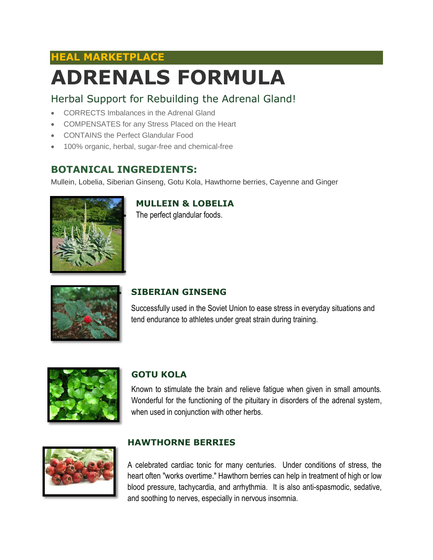# **HEAL MARKETPLACE ADRENALS FORMULA**

## Herbal Support for Rebuilding the Adrenal Gland!

- CORRECTS Imbalances in the Adrenal Gland
- COMPENSATES for any Stress Placed on the Heart
- CONTAINS the Perfect Glandular Food
- 100% organic, herbal, sugar-free and chemical-free

### **BOTANICAL INGREDIENTS:**

Mullein, Lobelia, Siberian Ginseng, Gotu Kola, Hawthorne berries, Cayenne and Ginger



**MULLEIN & LOBELIA**

The perfect glandular foods.



#### **SIBERIAN GINSENG**

Successfully used in the Soviet Union to ease stress in everyday situations and tend endurance to athletes under great strain during training.



#### **GOTU KOLA**

Known to stimulate the brain and relieve fatigue when given in small amounts. Wonderful for the functioning of the pituitary in disorders of the adrenal system, when used in conjunction with other herbs.



#### **HAWTHORNE BERRIES**

A celebrated cardiac tonic for many centuries. Under conditions of stress, the heart often "works overtime." Hawthorn berries can help in treatment of high or low blood pressure, tachycardia, and arrhythmia. It is also anti-spasmodic, sedative, and soothing to nerves, especially in nervous insomnia.